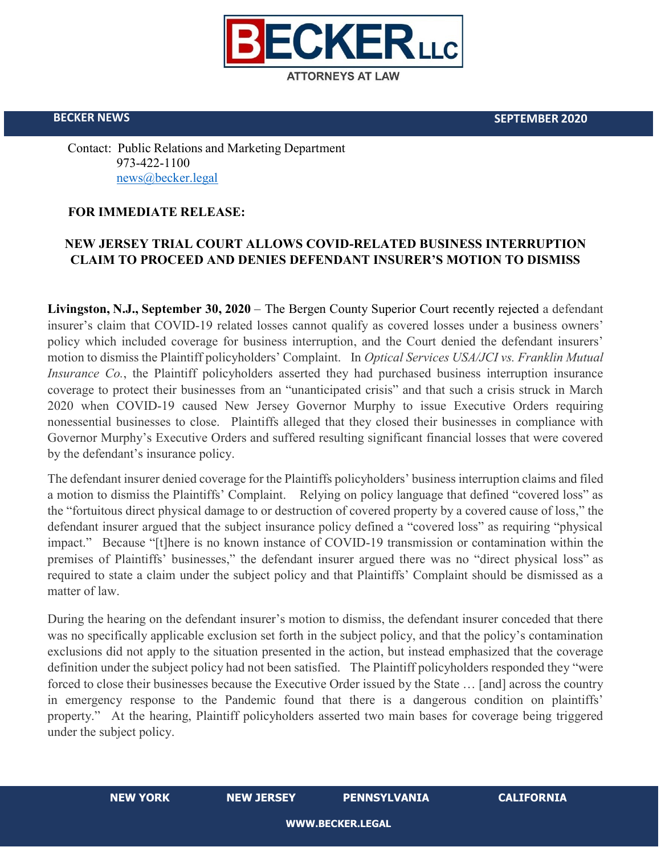

**BECKER NEWS SEPTEMBER 2020**

Contact: Public Relations and Marketing Department 973-422-1100 [news@becker.legal](mailto:news@becker.legal)

## **FOR IMMEDIATE RELEASE:**

## **NEW JERSEY TRIAL COURT ALLOWS COVID-RELATED BUSINESS INTERRUPTION CLAIM TO PROCEED AND DENIES DEFENDANT INSURER'S MOTION TO DISMISS**

**Livingston, N.J., September 30, 2020** – The Bergen County Superior Court recently rejected a defendant insurer's claim that COVID-19 related losses cannot qualify as covered losses under a business owners' policy which included coverage for business interruption, and the Court denied the defendant insurers' motion to dismiss the Plaintiff policyholders' Complaint. In *Optical Services USA/JCI vs. Franklin Mutual Insurance Co.*, the Plaintiff policyholders asserted they had purchased business interruption insurance coverage to protect their businesses from an "unanticipated crisis" and that such a crisis struck in March 2020 when COVID-19 caused New Jersey Governor Murphy to issue Executive Orders requiring nonessential businesses to close. Plaintiffs alleged that they closed their businesses in compliance with Governor Murphy's Executive Orders and suffered resulting significant financial losses that were covered by the defendant's insurance policy.

The defendant insurer denied coverage for the Plaintiffs policyholders' business interruption claims and filed a motion to dismiss the Plaintiffs' Complaint. Relying on policy language that defined "covered loss" as the "fortuitous direct physical damage to or destruction of covered property by a covered cause of loss," the defendant insurer argued that the subject insurance policy defined a "covered loss" as requiring "physical impact." Because "[t]here is no known instance of COVID-19 transmission or contamination within the premises of Plaintiffs' businesses," the defendant insurer argued there was no "direct physical loss" as required to state a claim under the subject policy and that Plaintiffs' Complaint should be dismissed as a matter of law.

During the hearing on the defendant insurer's motion to dismiss, the defendant insurer conceded that there was no specifically applicable exclusion set forth in the subject policy, and that the policy's contamination exclusions did not apply to the situation presented in the action, but instead emphasized that the coverage definition under the subject policy had not been satisfied. The Plaintiff policyholders responded they "were forced to close their businesses because the Executive Order issued by the State … [and] across the country in emergency response to the Pandemic found that there is a dangerous condition on plaintiffs' property." At the hearing, Plaintiff policyholders asserted two main bases for coverage being triggered under the subject policy.